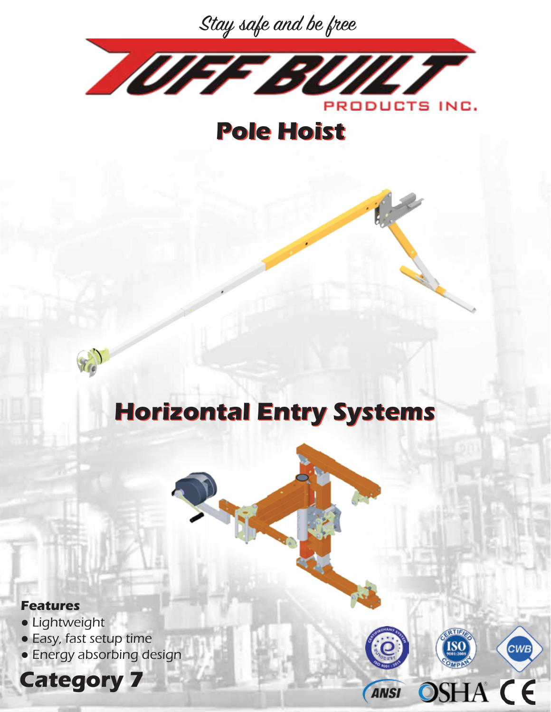



**Pole Hoist Pole Hoist** 



## **Horizontal Entry Systems Horizontal Entry Systems**

**RTIFI** 

**ANSI** 

**OSHA CE** 

CWB



- Lightweight
- Easy, fast setup time
- Energy absorbing design

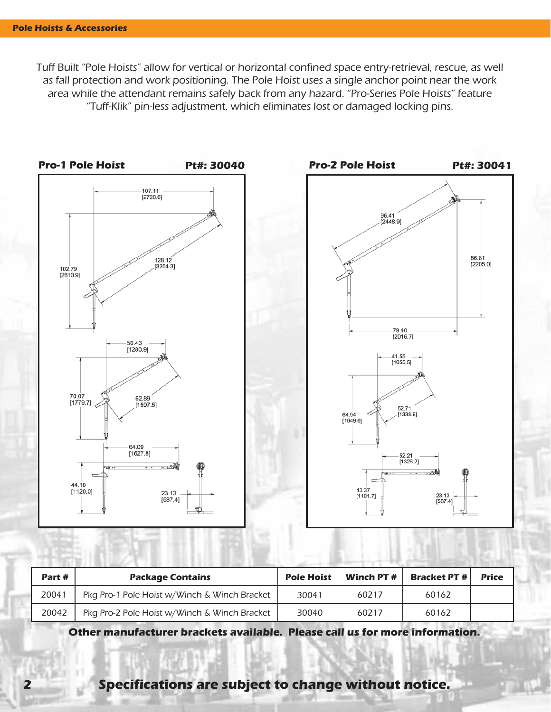Tuff Built "Pole Hoists" allow for vertical or horizontal confined space entry-retrieval, rescue, as well as fall protection and work positioning. The Pole Hoist uses a single anchor point near the work area while the attendant remains safely back from any hazard. "Pro-Series Pole Hoists" feature "Tuff-Klik" pin-less adjustment, which eliminates lost or damaged locking pins.



| Part # | <b>Package Contains</b>                      | <b>Pole Hoist</b> | Winch PT # | <b>Bracket PT #1</b> | <b>Price</b> |
|--------|----------------------------------------------|-------------------|------------|----------------------|--------------|
| 20041  | Pkg Pro-1 Pole Hoist w/Winch & Winch Bracket | 30041             | 60217      | 60162                |              |
| 20042  | Pkg Pro-2 Pole Hoist w/Winch & Winch Bracket | 30040             | 60217      | 60162                |              |

**Other manufacturer brackets available. Please call us for more information.**

**2 Specifications are subject to change without notice.**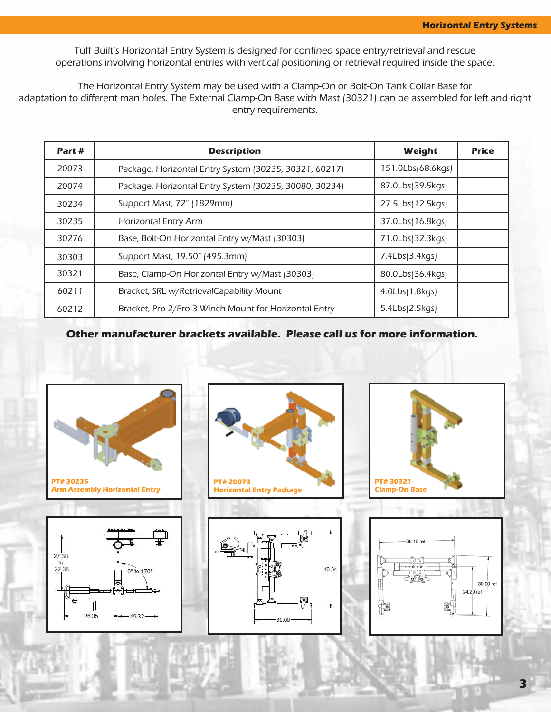Tuff Built's Horizontal Entry System is designed for confined space entry/retrieval and rescue operations involving horizontal entries with vertical positioning or retrieval required inside the space.

The Horizontal Entry System may be used with a Clamp-On or Bolt-On Tank Collar Base for adaptation to different man holes. The External Clamp-On Base with Mast (30321) can be assembled for left and right entry requirements.

| Part# | <b>Description</b>                                     | Weight            | <b>Price</b> |
|-------|--------------------------------------------------------|-------------------|--------------|
| 20073 | Package, Horizontal Entry System (30235, 30321, 60217) | 151.0Lbs(68.6kgs) |              |
| 20074 | Package, Horizontal Entry System (30235, 30080, 30234) | 87.0Lbs(39.5kgs)  |              |
| 30234 | Support Mast, 72" (1829mm)                             | 27.5Lbs(12.5kgs)  |              |
| 30235 | <b>Horizontal Entry Arm</b>                            | 37.0Lbs(16.8kgs)  |              |
| 30276 | Base, Bolt-On Horizontal Entry w/Mast (30303)          | 71.0Lbs(32.3kgs)  |              |
| 30303 | Support Mast, 19.50" (495.3mm)                         | 7.4Lbs(3.4kgs)    |              |
| 30321 | Base, Clamp-On Horizontal Entry w/Mast (30303)         | 80.0Lbs(36.4kgs)  |              |
| 60211 | Bracket, SRL w/RetrievalCapability Mount               | 4.0Lbs(1.8kgs)    |              |
| 60212 | Bracket, Pro-2/Pro-3 Winch Mount for Horizontal Entry  | 5.4Lbs(2.5kgs)    |              |

**Other manufacturer brackets available. Please call us for more information.**